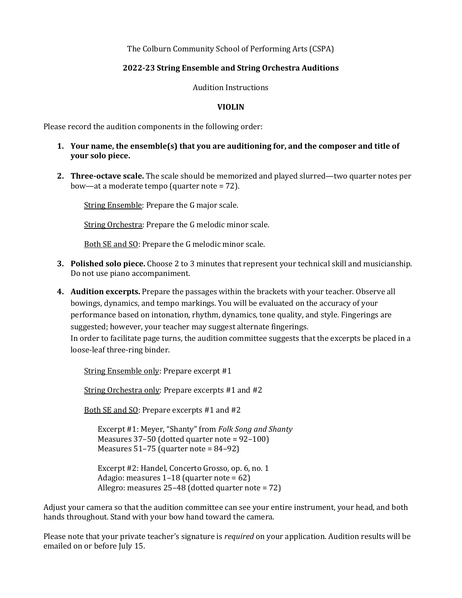The Colburn Community School of Performing Arts (CSPA)

## **2022-23 String Ensemble and String Orchestra Auditions**

Audition Instructions

## **VIOLIN**

Please record the audition components in the following order:

## **1.** Your name, the ensemble(s) that you are auditioning for, and the composer and title of **your** solo piece.

**2. Three-octave scale.** The scale should be memorized and played slurred—two quarter notes per bow—at a moderate tempo (quarter note  $= 72$ ).

String Ensemble: Prepare the G major scale.

String Orchestra: Prepare the G melodic minor scale.

Both SE and SO: Prepare the G melodic minor scale.

- **3.** Polished solo piece. Choose 2 to 3 minutes that represent your technical skill and musicianship. Do not use piano accompaniment.
- **4.** Audition excerpts. Prepare the passages within the brackets with your teacher. Observe all bowings, dynamics, and tempo markings. You will be evaluated on the accuracy of your performance based on intonation, rhythm, dynamics, tone quality, and style. Fingerings are suggested; however, your teacher may suggest alternate fingerings. In order to facilitate page turns, the audition committee suggests that the excerpts be placed in a loose-leaf three-ring binder.

String Ensemble only: Prepare excerpt #1

String Orchestra only: Prepare excerpts #1 and #2

Both SE and SO: Prepare excerpts #1 and #2

Excerpt #1: Meyer, "Shanty" from *Folk Song and Shanty* Measures  $37-50$  (dotted quarter note =  $92-100$ ) Measures  $51-75$  (quarter note =  $84-92$ )

Excerpt #2: Handel, Concerto Grosso, op. 6, no. 1 Adagio: measures  $1-18$  (quarter note =  $62$ ) Allegro: measures  $25-48$  (dotted quarter note =  $72$ )

Adjust your camera so that the audition committee can see your entire instrument, your head, and both hands throughout. Stand with your bow hand toward the camera.

Please note that your private teacher's signature is *required* on your application. Audition results will be emailed on or before July 15.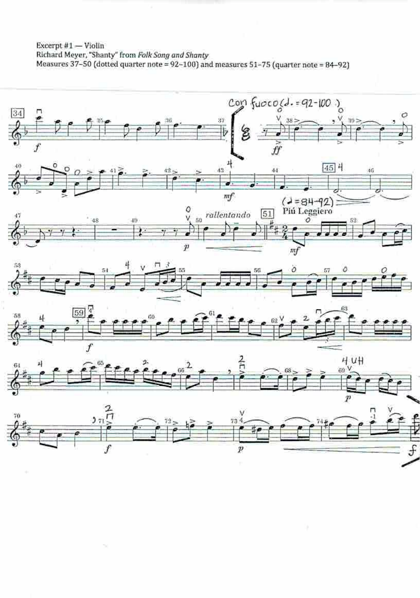Excerpt #1 - Violin Richard Meyer, "Shanty" from Folk Song and Shanty<br>Measures 37-50 (dotted quarter note = 92-100) and measures 51-75 (quarter note = 84-92)